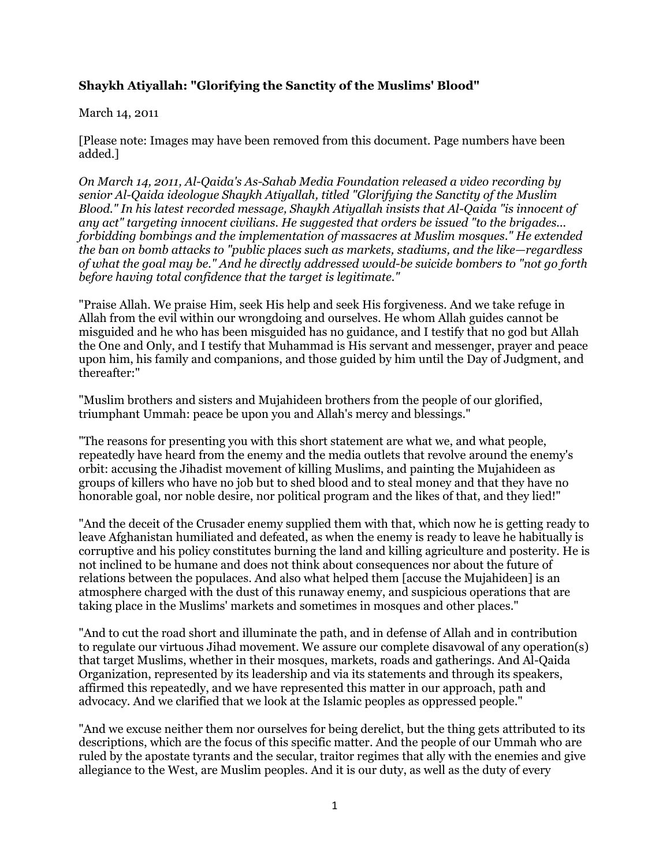## **Shaykh Atiyallah: "Glorifying the Sanctity of the Muslims' Blood"**

## March 14, 2011

[Please note: Images may have been removed from this document. Page numbers have been added.]

*On March 14, 2011, Al-Qaida's As-Sahab Media Foundation released a video recording by senior Al-Qaida ideologue Shaykh Atiyallah, titled "Glorifying the Sanctity of the Muslim Blood." In his latest recorded message, Shaykh Atiyallah insists that Al-Qaida "is innocent of any act" targeting innocent civilians. He suggested that orders be issued "to the brigades... forbidding bombings and the implementation of massacres at Muslim mosques." He extended the ban on bomb attacks to "public places such as markets, stadiums, and the like—regardless of what the goal may be." And he directly addressed would-be suicide bombers to "not go forth before having total confidence that the target is legitimate."*

"Praise Allah. We praise Him, seek His help and seek His forgiveness. And we take refuge in Allah from the evil within our wrongdoing and ourselves. He whom Allah guides cannot be misguided and he who has been misguided has no guidance, and I testify that no god but Allah the One and Only, and I testify that Muhammad is His servant and messenger, prayer and peace upon him, his family and companions, and those guided by him until the Day of Judgment, and thereafter:"

"Muslim brothers and sisters and Mujahideen brothers from the people of our glorified, triumphant Ummah: peace be upon you and Allah's mercy and blessings."

"The reasons for presenting you with this short statement are what we, and what people, repeatedly have heard from the enemy and the media outlets that revolve around the enemy's orbit: accusing the Jihadist movement of killing Muslims, and painting the Mujahideen as groups of killers who have no job but to shed blood and to steal money and that they have no honorable goal, nor noble desire, nor political program and the likes of that, and they lied!"

"And the deceit of the Crusader enemy supplied them with that, which now he is getting ready to leave Afghanistan humiliated and defeated, as when the enemy is ready to leave he habitually is corruptive and his policy constitutes burning the land and killing agriculture and posterity. He is not inclined to be humane and does not think about consequences nor about the future of relations between the populaces. And also what helped them [accuse the Mujahideen] is an atmosphere charged with the dust of this runaway enemy, and suspicious operations that are taking place in the Muslims' markets and sometimes in mosques and other places."

"And to cut the road short and illuminate the path, and in defense of Allah and in contribution to regulate our virtuous Jihad movement. We assure our complete disavowal of any operation(s) that target Muslims, whether in their mosques, markets, roads and gatherings. And Al-Qaida Organization, represented by its leadership and via its statements and through its speakers, affirmed this repeatedly, and we have represented this matter in our approach, path and advocacy. And we clarified that we look at the Islamic peoples as oppressed people."

"And we excuse neither them nor ourselves for being derelict, but the thing gets attributed to its descriptions, which are the focus of this specific matter. And the people of our Ummah who are ruled by the apostate tyrants and the secular, traitor regimes that ally with the enemies and give allegiance to the West, are Muslim peoples. And it is our duty, as well as the duty of every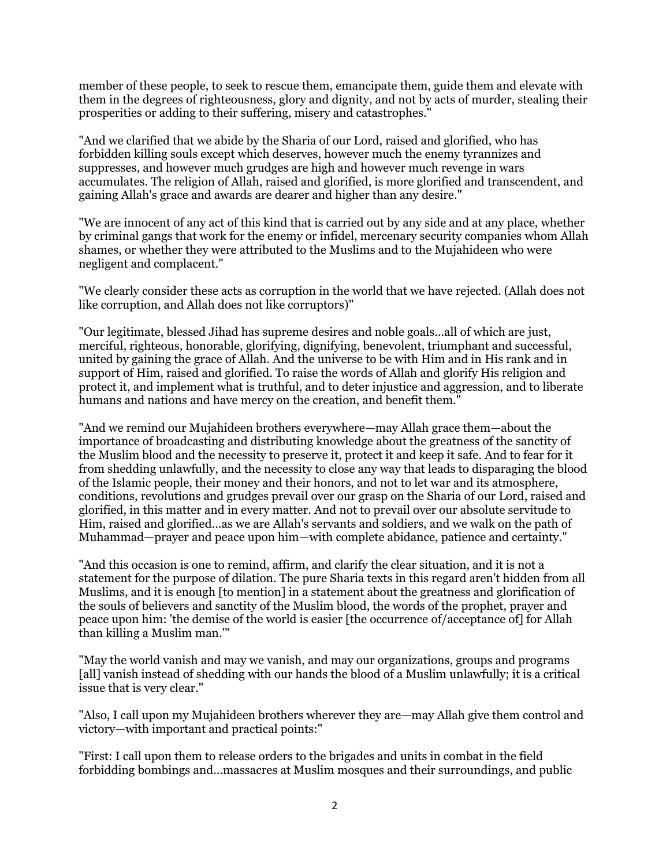member of these people, to seek to rescue them, emancipate them, guide them and elevate with them in the degrees of righteousness, glory and dignity, and not by acts of murder, stealing their prosperities or adding to their suffering, misery and catastrophes."

"And we clarified that we abide by the Sharia of our Lord, raised and glorified, who has forbidden killing souls except which deserves, however much the enemy tyrannizes and suppresses, and however much grudges are high and however much revenge in wars accumulates. The religion of Allah, raised and glorified, is more glorified and transcendent, and gaining Allah's grace and awards are dearer and higher than any desire."

"We are innocent of any act of this kind that is carried out by any side and at any place, whether by criminal gangs that work for the enemy or infidel, mercenary security companies whom Allah shames, or whether they were attributed to the Muslims and to the Mujahideen who were negligent and complacent."

"We clearly consider these acts as corruption in the world that we have rejected. (Allah does not like corruption, and Allah does not like corruptors)"

"Our legitimate, blessed Jihad has supreme desires and noble goals...all of which are just, merciful, righteous, honorable, glorifying, dignifying, benevolent, triumphant and successful, united by gaining the grace of Allah. And the universe to be with Him and in His rank and in support of Him, raised and glorified. To raise the words of Allah and glorify His religion and protect it, and implement what is truthful, and to deter injustice and aggression, and to liberate humans and nations and have mercy on the creation, and benefit them."

"And we remind our Mujahideen brothers everywhere—may Allah grace them—about the importance of broadcasting and distributing knowledge about the greatness of the sanctity of the Muslim blood and the necessity to preserve it, protect it and keep it safe. And to fear for it from shedding unlawfully, and the necessity to close any way that leads to disparaging the blood of the Islamic people, their money and their honors, and not to let war and its atmosphere, conditions, revolutions and grudges prevail over our grasp on the Sharia of our Lord, raised and glorified, in this matter and in every matter. And not to prevail over our absolute servitude to Him, raised and glorified...as we are Allah's servants and soldiers, and we walk on the path of Muhammad—prayer and peace upon him—with complete abidance, patience and certainty."

"And this occasion is one to remind, affirm, and clarify the clear situation, and it is not a statement for the purpose of dilation. The pure Sharia texts in this regard aren't hidden from all Muslims, and it is enough [to mention] in a statement about the greatness and glorification of the souls of believers and sanctity of the Muslim blood, the words of the prophet, prayer and peace upon him: 'the demise of the world is easier [the occurrence of/acceptance of] for Allah than killing a Muslim man.'"

"May the world vanish and may we vanish, and may our organizations, groups and programs [all] vanish instead of shedding with our hands the blood of a Muslim unlawfully; it is a critical issue that is very clear."

"Also, I call upon my Mujahideen brothers wherever they are—may Allah give them control and victory—with important and practical points:"

"First: I call upon them to release orders to the brigades and units in combat in the field forbidding bombings and...massacres at Muslim mosques and their surroundings, and public